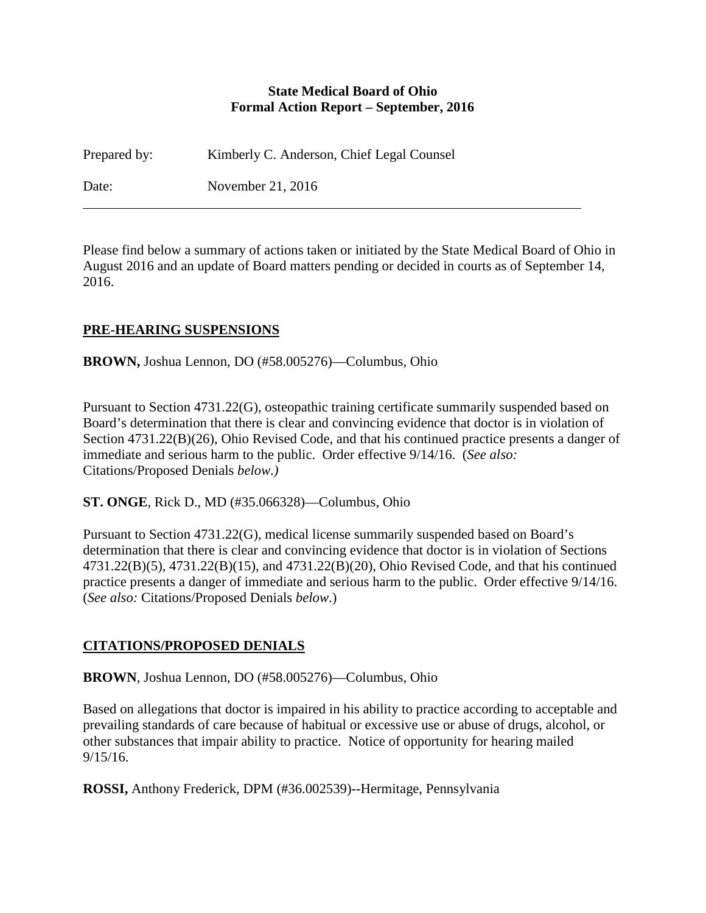#### **State Medical Board of Ohio Formal Action Report – September, 2016**

Prepared by: Kimberly C. Anderson, Chief Legal Counsel Date: November 21, 2016

Please find below a summary of actions taken or initiated by the State Medical Board of Ohio in August 2016 and an update of Board matters pending or decided in courts as of September 14, 2016.

### **PRE-HEARING SUSPENSIONS**

**BROWN,** Joshua Lennon, DO (#58.005276)—Columbus, Ohio

Pursuant to Section 4731.22(G), osteopathic training certificate summarily suspended based on Board's determination that there is clear and convincing evidence that doctor is in violation of Section 4731.22(B)(26), Ohio Revised Code, and that his continued practice presents a danger of immediate and serious harm to the public. Order effective 9/14/16. (*See also:* Citations/Proposed Denials *below.)*

**ST. ONGE**, Rick D., MD (#35.066328)—Columbus, Ohio

Pursuant to Section 4731.22(G), medical license summarily suspended based on Board's determination that there is clear and convincing evidence that doctor is in violation of Sections 4731.22(B)(5), 4731.22(B)(15), and 4731.22(B)(20), Ohio Revised Code, and that his continued practice presents a danger of immediate and serious harm to the public. Order effective 9/14/16. (*See also:* Citations/Proposed Denials *below*.)

### **CITATIONS/PROPOSED DENIALS**

**BROWN**, Joshua Lennon, DO (#58.005276)—Columbus, Ohio

Based on allegations that doctor is impaired in his ability to practice according to acceptable and prevailing standards of care because of habitual or excessive use or abuse of drugs, alcohol, or other substances that impair ability to practice. Notice of opportunity for hearing mailed 9/15/16.

**ROSSI,** Anthony Frederick, DPM (#36.002539)--Hermitage, Pennsylvania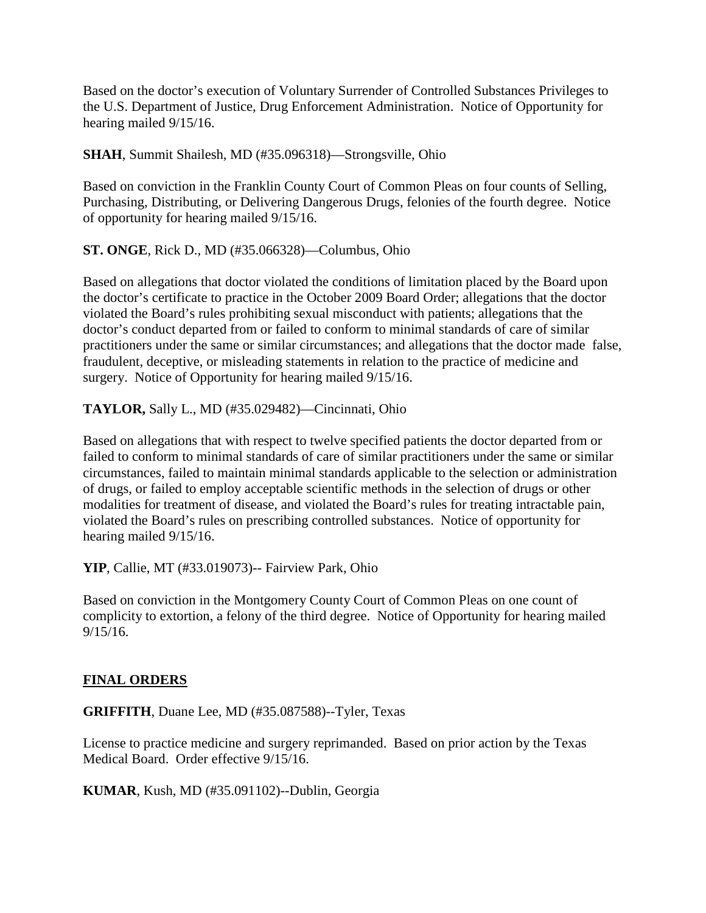Based on the doctor's execution of Voluntary Surrender of Controlled Substances Privileges to the U.S. Department of Justice, Drug Enforcement Administration. Notice of Opportunity for hearing mailed 9/15/16.

**SHAH**, Summit Shailesh, MD (#35.096318)—Strongsville, Ohio

Based on conviction in the Franklin County Court of Common Pleas on four counts of Selling, Purchasing, Distributing, or Delivering Dangerous Drugs, felonies of the fourth degree. Notice of opportunity for hearing mailed 9/15/16.

**ST. ONGE**, Rick D., MD (#35.066328)—Columbus, Ohio

Based on allegations that doctor violated the conditions of limitation placed by the Board upon the doctor's certificate to practice in the October 2009 Board Order; allegations that the doctor violated the Board's rules prohibiting sexual misconduct with patients; allegations that the doctor's conduct departed from or failed to conform to minimal standards of care of similar practitioners under the same or similar circumstances; and allegations that the doctor made false, fraudulent, deceptive, or misleading statements in relation to the practice of medicine and surgery. Notice of Opportunity for hearing mailed 9/15/16.

**TAYLOR,** Sally L., MD (#35.029482)—Cincinnati, Ohio

Based on allegations that with respect to twelve specified patients the doctor departed from or failed to conform to minimal standards of care of similar practitioners under the same or similar circumstances, failed to maintain minimal standards applicable to the selection or administration of drugs, or failed to employ acceptable scientific methods in the selection of drugs or other modalities for treatment of disease, and violated the Board's rules for treating intractable pain, violated the Board's rules on prescribing controlled substances. Notice of opportunity for hearing mailed 9/15/16.

**YIP**, Callie, MT (#33.019073)-- Fairview Park, Ohio

Based on conviction in the Montgomery County Court of Common Pleas on one count of complicity to extortion, a felony of the third degree. Notice of Opportunity for hearing mailed 9/15/16.

#### **FINAL ORDERS**

**GRIFFITH**, Duane Lee, MD (#35.087588)--Tyler, Texas

License to practice medicine and surgery reprimanded. Based on prior action by the Texas Medical Board. Order effective 9/15/16.

**KUMAR**, Kush, MD (#35.091102)--Dublin, Georgia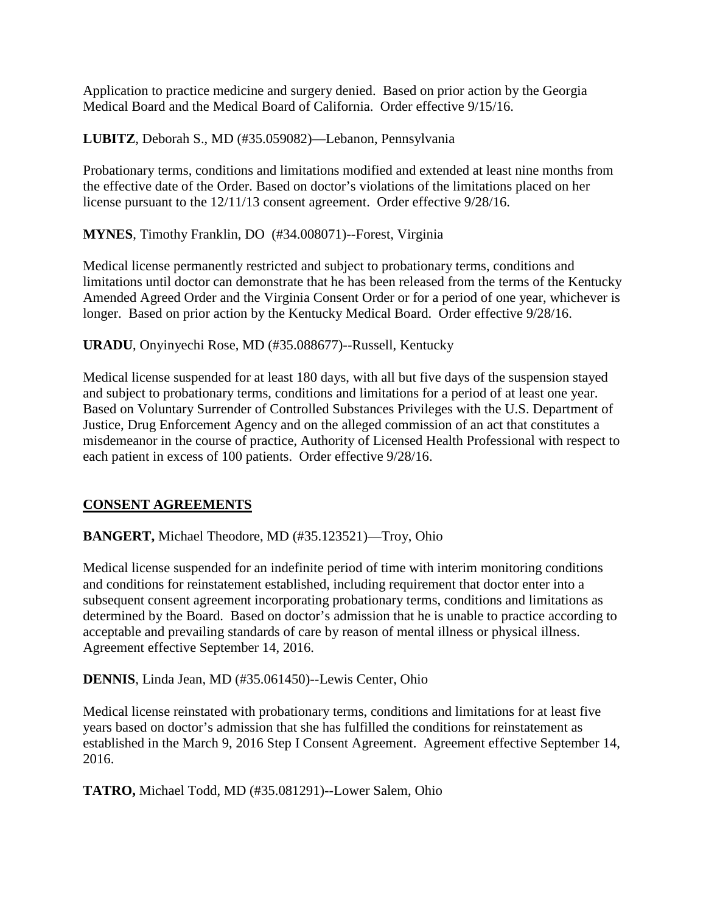Application to practice medicine and surgery denied. Based on prior action by the Georgia Medical Board and the Medical Board of California. Order effective 9/15/16.

**LUBITZ**, Deborah S., MD (#35.059082)—Lebanon, Pennsylvania

Probationary terms, conditions and limitations modified and extended at least nine months from the effective date of the Order. Based on doctor's violations of the limitations placed on her license pursuant to the 12/11/13 consent agreement. Order effective 9/28/16.

**MYNES**, Timothy Franklin, DO (#34.008071)--Forest, Virginia

Medical license permanently restricted and subject to probationary terms, conditions and limitations until doctor can demonstrate that he has been released from the terms of the Kentucky Amended Agreed Order and the Virginia Consent Order or for a period of one year, whichever is longer. Based on prior action by the Kentucky Medical Board. Order effective 9/28/16.

**URADU**, Onyinyechi Rose, MD (#35.088677)--Russell, Kentucky

Medical license suspended for at least 180 days, with all but five days of the suspension stayed and subject to probationary terms, conditions and limitations for a period of at least one year. Based on Voluntary Surrender of Controlled Substances Privileges with the U.S. Department of Justice, Drug Enforcement Agency and on the alleged commission of an act that constitutes a misdemeanor in the course of practice, Authority of Licensed Health Professional with respect to each patient in excess of 100 patients. Order effective 9/28/16.

# **CONSENT AGREEMENTS**

**BANGERT,** Michael Theodore, MD (#35.123521)—Troy, Ohio

Medical license suspended for an indefinite period of time with interim monitoring conditions and conditions for reinstatement established, including requirement that doctor enter into a subsequent consent agreement incorporating probationary terms, conditions and limitations as determined by the Board. Based on doctor's admission that he is unable to practice according to acceptable and prevailing standards of care by reason of mental illness or physical illness. Agreement effective September 14, 2016.

**DENNIS**, Linda Jean, MD (#35.061450)--Lewis Center, Ohio

Medical license reinstated with probationary terms, conditions and limitations for at least five years based on doctor's admission that she has fulfilled the conditions for reinstatement as established in the March 9, 2016 Step I Consent Agreement. Agreement effective September 14, 2016.

**TATRO,** Michael Todd, MD (#35.081291)--Lower Salem, Ohio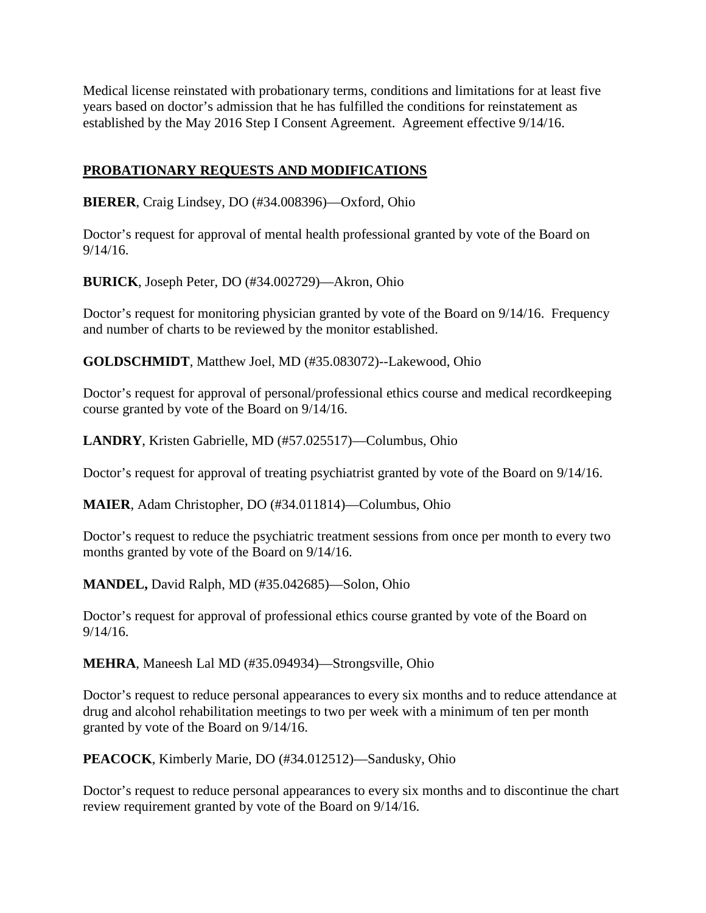Medical license reinstated with probationary terms, conditions and limitations for at least five years based on doctor's admission that he has fulfilled the conditions for reinstatement as established by the May 2016 Step I Consent Agreement. Agreement effective 9/14/16.

# **PROBATIONARY REQUESTS AND MODIFICATIONS**

**BIERER**, Craig Lindsey, DO (#34.008396)—Oxford, Ohio

Doctor's request for approval of mental health professional granted by vote of the Board on 9/14/16.

**BURICK**, Joseph Peter, DO (#34.002729)—Akron, Ohio

Doctor's request for monitoring physician granted by vote of the Board on 9/14/16. Frequency and number of charts to be reviewed by the monitor established.

**GOLDSCHMIDT**, Matthew Joel, MD (#35.083072)--Lakewood, Ohio

Doctor's request for approval of personal/professional ethics course and medical recordkeeping course granted by vote of the Board on 9/14/16.

**LANDRY**, Kristen Gabrielle, MD (#57.025517)—Columbus, Ohio

Doctor's request for approval of treating psychiatrist granted by vote of the Board on 9/14/16.

**MAIER**, Adam Christopher, DO (#34.011814)—Columbus, Ohio

Doctor's request to reduce the psychiatric treatment sessions from once per month to every two months granted by vote of the Board on 9/14/16.

**MANDEL,** David Ralph, MD (#35.042685)—Solon, Ohio

Doctor's request for approval of professional ethics course granted by vote of the Board on 9/14/16.

**MEHRA**, Maneesh Lal MD (#35.094934)—Strongsville, Ohio

Doctor's request to reduce personal appearances to every six months and to reduce attendance at drug and alcohol rehabilitation meetings to two per week with a minimum of ten per month granted by vote of the Board on 9/14/16.

**PEACOCK**, Kimberly Marie, DO (#34.012512)—Sandusky, Ohio

Doctor's request to reduce personal appearances to every six months and to discontinue the chart review requirement granted by vote of the Board on 9/14/16.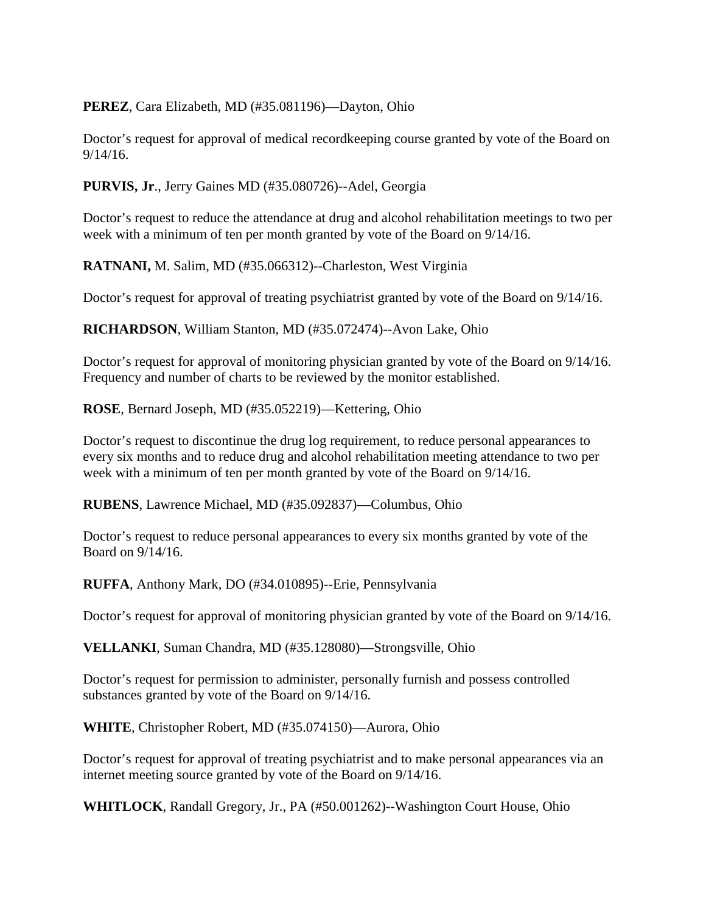#### **PEREZ**, Cara Elizabeth, MD (#35.081196)—Dayton, Ohio

Doctor's request for approval of medical recordkeeping course granted by vote of the Board on 9/14/16.

#### **PURVIS, Jr**., Jerry Gaines MD (#35.080726)--Adel, Georgia

Doctor's request to reduce the attendance at drug and alcohol rehabilitation meetings to two per week with a minimum of ten per month granted by vote of the Board on 9/14/16.

**RATNANI,** M. Salim, MD (#35.066312)--Charleston, West Virginia

Doctor's request for approval of treating psychiatrist granted by vote of the Board on 9/14/16.

**RICHARDSON**, William Stanton, MD (#35.072474)--Avon Lake, Ohio

Doctor's request for approval of monitoring physician granted by vote of the Board on 9/14/16. Frequency and number of charts to be reviewed by the monitor established.

**ROSE**, Bernard Joseph, MD (#35.052219)—Kettering, Ohio

Doctor's request to discontinue the drug log requirement, to reduce personal appearances to every six months and to reduce drug and alcohol rehabilitation meeting attendance to two per week with a minimum of ten per month granted by vote of the Board on 9/14/16.

**RUBENS**, Lawrence Michael, MD (#35.092837)—Columbus, Ohio

Doctor's request to reduce personal appearances to every six months granted by vote of the Board on 9/14/16.

**RUFFA**, Anthony Mark, DO (#34.010895)--Erie, Pennsylvania

Doctor's request for approval of monitoring physician granted by vote of the Board on 9/14/16.

**VELLANKI**, Suman Chandra, MD (#35.128080)—Strongsville, Ohio

Doctor's request for permission to administer, personally furnish and possess controlled substances granted by vote of the Board on 9/14/16.

**WHITE**, Christopher Robert, MD (#35.074150)—Aurora, Ohio

Doctor's request for approval of treating psychiatrist and to make personal appearances via an internet meeting source granted by vote of the Board on 9/14/16.

**WHITLOCK**, Randall Gregory, Jr., PA (#50.001262)--Washington Court House, Ohio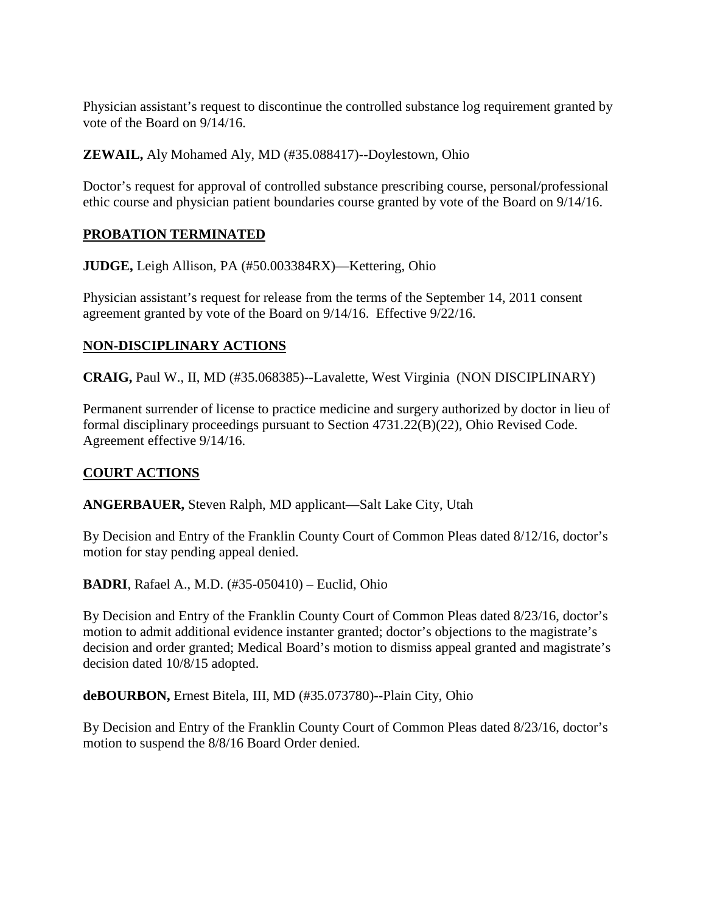Physician assistant's request to discontinue the controlled substance log requirement granted by vote of the Board on 9/14/16.

**ZEWAIL,** Aly Mohamed Aly, MD (#35.088417)--Doylestown, Ohio

Doctor's request for approval of controlled substance prescribing course, personal/professional ethic course and physician patient boundaries course granted by vote of the Board on 9/14/16.

## **PROBATION TERMINATED**

**JUDGE,** Leigh Allison, PA (#50.003384RX)—Kettering, Ohio

Physician assistant's request for release from the terms of the September 14, 2011 consent agreement granted by vote of the Board on 9/14/16. Effective 9/22/16.

## **NON-DISCIPLINARY ACTIONS**

**CRAIG,** Paul W., II, MD (#35.068385)--Lavalette, West Virginia (NON DISCIPLINARY)

Permanent surrender of license to practice medicine and surgery authorized by doctor in lieu of formal disciplinary proceedings pursuant to Section 4731.22(B)(22), Ohio Revised Code. Agreement effective 9/14/16.

# **COURT ACTIONS**

**ANGERBAUER,** Steven Ralph, MD applicant—Salt Lake City, Utah

By Decision and Entry of the Franklin County Court of Common Pleas dated 8/12/16, doctor's motion for stay pending appeal denied.

**BADRI**, Rafael A., M.D. (#35-050410) – Euclid, Ohio

By Decision and Entry of the Franklin County Court of Common Pleas dated 8/23/16, doctor's motion to admit additional evidence instanter granted; doctor's objections to the magistrate's decision and order granted; Medical Board's motion to dismiss appeal granted and magistrate's decision dated 10/8/15 adopted.

**deBOURBON,** Ernest Bitela, III, MD (#35.073780)--Plain City, Ohio

By Decision and Entry of the Franklin County Court of Common Pleas dated 8/23/16, doctor's motion to suspend the 8/8/16 Board Order denied.